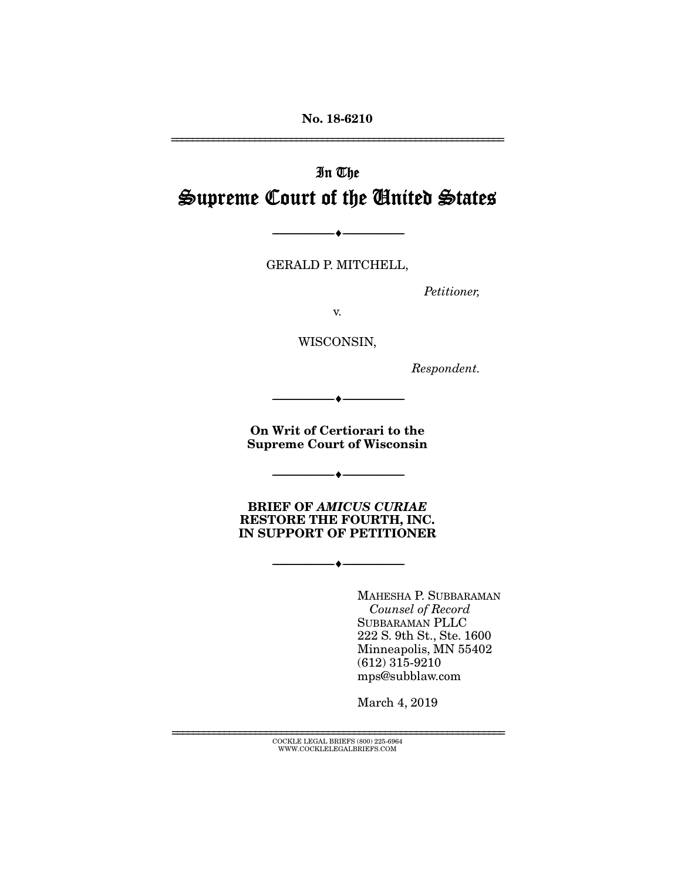No. 18-6210

# In The Supreme Court of the United States

GERALD P. MITCHELL,

 $\longrightarrow \hspace{1.9cm} \longrightarrow$ 

*Petitioner,* 

================================================================

v.

WISCONSIN,

*Respondent.* 

On Writ of Certiorari to the Supreme Court of Wisconsin

--------------------------------- ---------------------------------

--------------------------------- ---------------------------------

BRIEF OF *AMICUS CURIAE* RESTORE THE FOURTH, INC. IN SUPPORT OF PETITIONER

--------------------------------- ---------------------------------

MAHESHA P. SUBBARAMAN *Counsel of Record* SUBBARAMAN PLLC 222 S. 9th St., Ste. 1600 Minneapolis, MN 55402 (612) 315-9210 mps@subblaw.com

March 4, 2019

================================================================ COCKLE LEGAL BRIEFS (800) 225-6964 WWW.COCKLELEGALBRIEFS.COM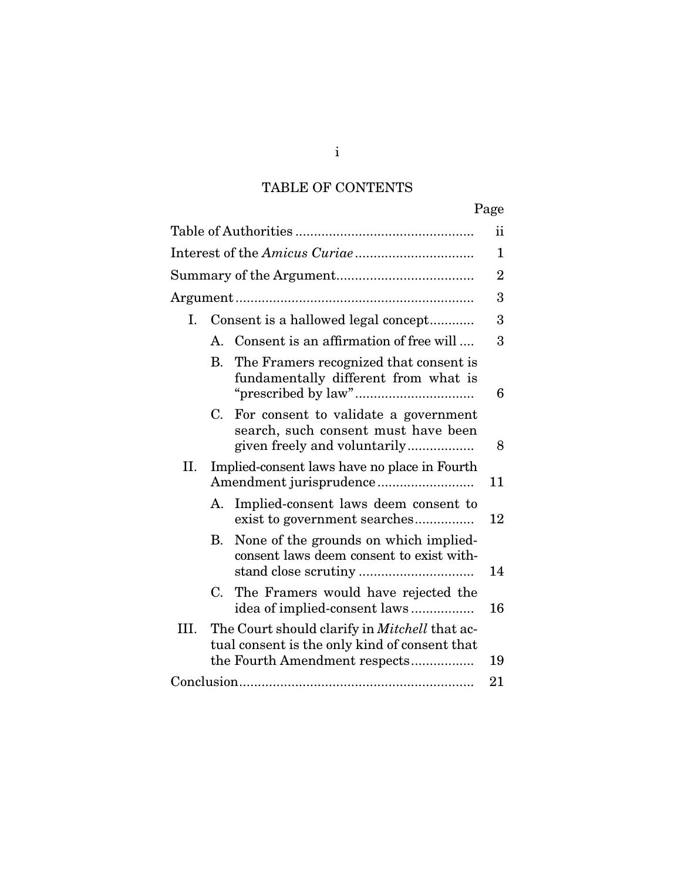# TABLE OF CONTENTS

|      |                                     |                                                                                                             | Page |  |
|------|-------------------------------------|-------------------------------------------------------------------------------------------------------------|------|--|
|      |                                     |                                                                                                             |      |  |
|      |                                     |                                                                                                             |      |  |
|      |                                     |                                                                                                             |      |  |
|      |                                     |                                                                                                             | 3    |  |
| L.   | Consent is a hallowed legal concept |                                                                                                             | 3    |  |
|      |                                     | A. Consent is an affirmation of free will                                                                   | 3    |  |
|      | В.                                  | The Framers recognized that consent is<br>fundamentally different from what is                              | 6    |  |
|      | C.                                  | For consent to validate a government<br>search, such consent must have been<br>given freely and voluntarily | 8    |  |
| II.  |                                     | Implied-consent laws have no place in Fourth                                                                | 11   |  |
|      | А.                                  | Implied-consent laws deem consent to<br>exist to government searches                                        | 12   |  |
|      | В.                                  | None of the grounds on which implied-<br>consent laws deem consent to exist with-                           | 14   |  |
|      |                                     | C. The Framers would have rejected the<br>idea of implied-consent laws                                      | 16   |  |
| III. |                                     | The Court should clarify in <i>Mitchell</i> that ac-<br>tual consent is the only kind of consent that       |      |  |
|      |                                     | the Fourth Amendment respects                                                                               | 19   |  |
|      |                                     |                                                                                                             | 21   |  |

i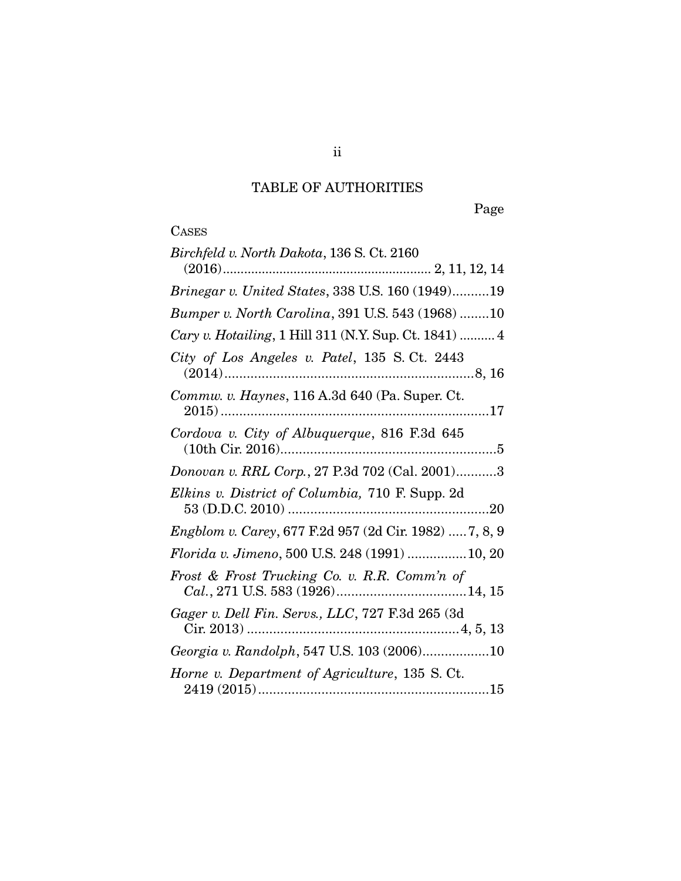# TABLE OF AUTHORITIES

Page

**CASES** 

| Birchfeld v. North Dakota, 136 S. Ct. 2160                    |
|---------------------------------------------------------------|
|                                                               |
| <i>Brinegar v. United States, 338 U.S. 160 (1949)19</i>       |
| Bumper v. North Carolina, 391 U.S. 543 (1968) 10              |
| Cary v. Hotailing, 1 Hill 311 (N.Y. Sup. Ct. 1841)  4         |
| City of Los Angeles v. Patel, 135 S.Ct. 2443                  |
| Commw. v. Haynes, 116 A.3d 640 (Pa. Super. Ct.                |
| Cordova v. City of Albuquerque, 816 F.3d 645                  |
| Donovan v. RRL Corp., 27 P.3d 702 (Cal. 2001)3                |
| Elkins v. District of Columbia, 710 F. Supp. 2d               |
| <i>Engblom v. Carey, 677 F.2d 957 (2d Cir. 1982)  7, 8, 9</i> |
| Florida v. Jimeno, 500 U.S. 248 (1991) 10, 20                 |
| Frost & Frost Trucking Co. v. R.R. Comm'n of                  |
| Gager v. Dell Fin. Servs., LLC, 727 F.3d 265 (3d              |
| Georgia v. Randolph, 547 U.S. 103 (2006)10                    |
| Horne v. Department of Agriculture, 135 S. Ct.                |

ii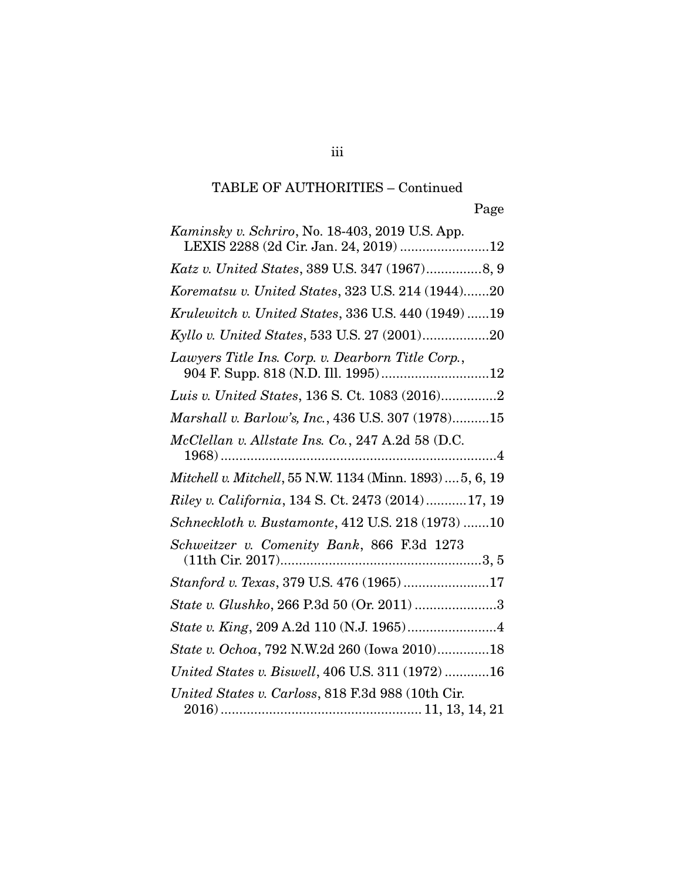| <i>Kaminsky v. Schriro, No.</i> 18-403, 2019 U.S. App.                                   |
|------------------------------------------------------------------------------------------|
| LEXIS 2288 (2d Cir. Jan. 24, 2019) 12                                                    |
| Katz v. United States, 389 U.S. 347 (1967)8, 9                                           |
| Korematsu v. United States, 323 U.S. 214 (1944)20                                        |
| Krulewitch v. United States, 336 U.S. 440 (1949) 19                                      |
| Kyllo v. United States, 533 U.S. 27 (2001)20                                             |
| Lawyers Title Ins. Corp. v. Dearborn Title Corp.,<br>904 F. Supp. 818 (N.D. Ill. 1995)12 |
| Luis v. United States, 136 S. Ct. 1083 (2016)2                                           |
| Marshall v. Barlow's, Inc., 436 U.S. 307 (1978)15                                        |
| McClellan v. Allstate Ins. Co., 247 A.2d 58 (D.C.                                        |
| Mitchell v. Mitchell, 55 N.W. 1134 (Minn. 1893)  5, 6, 19                                |
| Riley v. California, 134 S. Ct. 2473 (2014)17, 19                                        |
| Schneckloth v. Bustamonte, 412 U.S. 218 (1973) 10                                        |
| Schweitzer v. Comenity Bank, 866 F.3d 1273                                               |
| Stanford v. Texas, 379 U.S. 476 (1965)17                                                 |
| State v. Glushko, 266 P.3d 50 (Or. 2011) 3                                               |
|                                                                                          |
| State v. Ochoa, 792 N.W.2d 260 (Iowa 2010)18                                             |
| United States v. Biswell, 406 U.S. 311 (1972) 16                                         |
| United States v. Carloss, 818 F.3d 988 (10th Cir.                                        |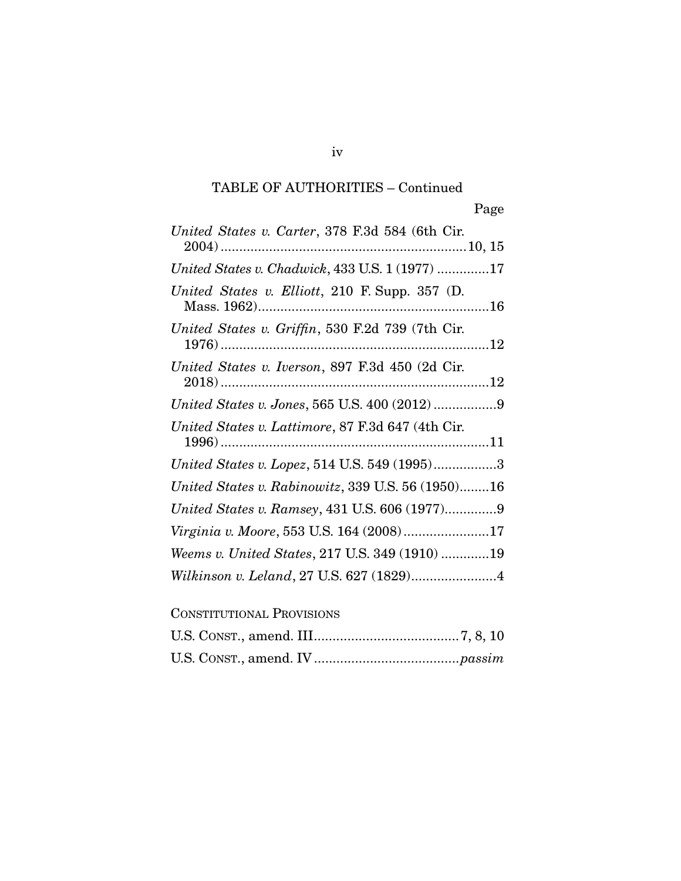| United States v. Carter, 378 F.3d 584 (6th Cir.   |
|---------------------------------------------------|
|                                                   |
| United States v. Chadwick, 433 U.S. 1 (1977) 17   |
| United States v. Elliott, 210 F. Supp. 357 (D.    |
| United States v. Griffin, 530 F.2d 739 (7th Cir.  |
| United States v. Iverson, 897 F.3d 450 (2d Cir.   |
| United States v. Jones, 565 U.S. 400 (2012) 9     |
| United States v. Lattimore, 87 F.3d 647 (4th Cir. |
| United States v. Lopez, 514 U.S. 549 (1995)3      |
| United States v. Rabinowitz, 339 U.S. 56 (1950)16 |
| United States v. Ramsey, 431 U.S. 606 (1977)9     |
| Virginia v. Moore, 553 U.S. 164 (2008)17          |
| Weems v. United States, 217 U.S. 349 (1910) 19    |
|                                                   |
| <b>CONSTITUTIONAL PROVISIONS</b>                  |

iv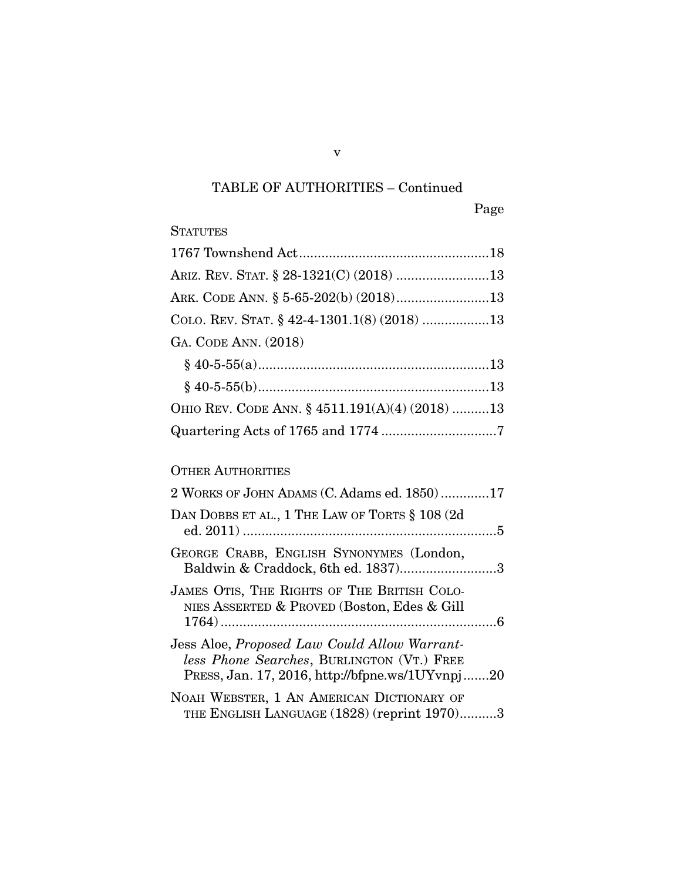| <b>STATUTES</b>                                                                                                                               |
|-----------------------------------------------------------------------------------------------------------------------------------------------|
|                                                                                                                                               |
| ARIZ. REV. STAT. § 28-1321(C) (2018) 13                                                                                                       |
| ARK. CODE ANN. § 5-65-202(b) (2018)13                                                                                                         |
| COLO. REV. STAT. § 42-4-1301.1(8) (2018) 13                                                                                                   |
| GA. CODE ANN. (2018)                                                                                                                          |
|                                                                                                                                               |
|                                                                                                                                               |
| OHIO REV. CODE ANN. § 4511.191(A)(4) (2018) 13                                                                                                |
|                                                                                                                                               |
| <b>OTHER AUTHORITIES</b>                                                                                                                      |
| 2 WORKS OF JOHN ADAMS (C. Adams ed. 1850)17                                                                                                   |
| DAN DOBBS ET AL., 1 THE LAW OF TORTS § 108 (2d                                                                                                |
| GEORGE CRABB, ENGLISH SYNONYMES (London,<br>Baldwin & Craddock, 6th ed. 1837)3                                                                |
| JAMES OTIS, THE RIGHTS OF THE BRITISH COLO-<br>NIES ASSERTED & PROVED (Boston, Edes & Gill                                                    |
| Jess Aloe, Proposed Law Could Allow Warrant-<br>less Phone Searches, BURLINGTON (VT.) FREE<br>PRESS, Jan. 17, 2016, http://bfpne.ws/1UYvnpj20 |
| NOAH WEBSTER, 1 AN AMERICAN DICTIONARY OF<br>THE ENGLISH LANGUAGE (1828) (reprint 1970)3                                                      |

v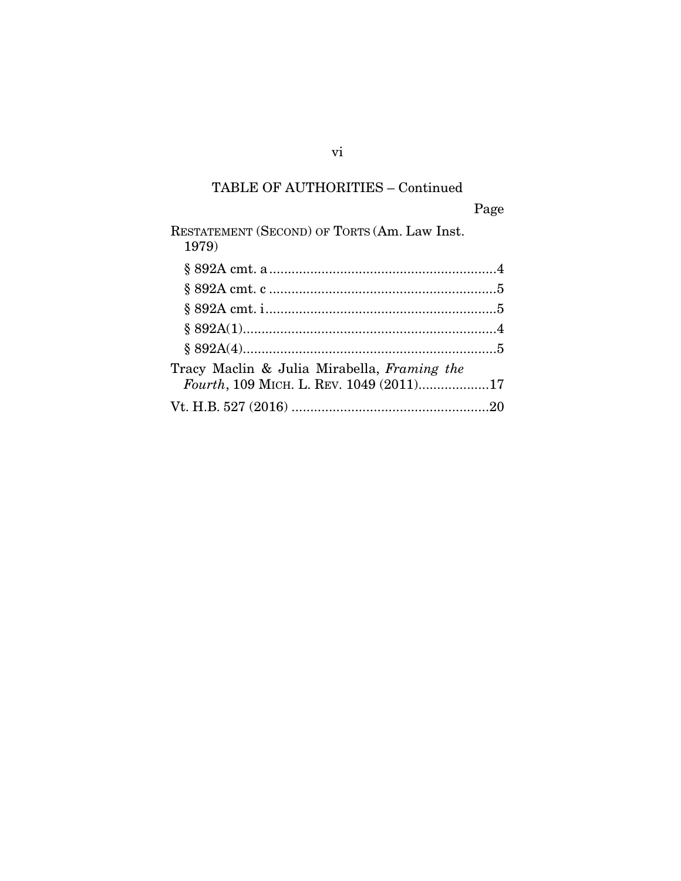| RESTATEMENT (SECOND) OF TORTS (Am. Law Inst.<br>1979) |  |
|-------------------------------------------------------|--|
|                                                       |  |
|                                                       |  |
|                                                       |  |
|                                                       |  |
|                                                       |  |
| Tracy Maclin & Julia Mirabella, Framing the           |  |
| Fourth, 109 MICH. L. REV. 1049 (2011)17               |  |
|                                                       |  |

vi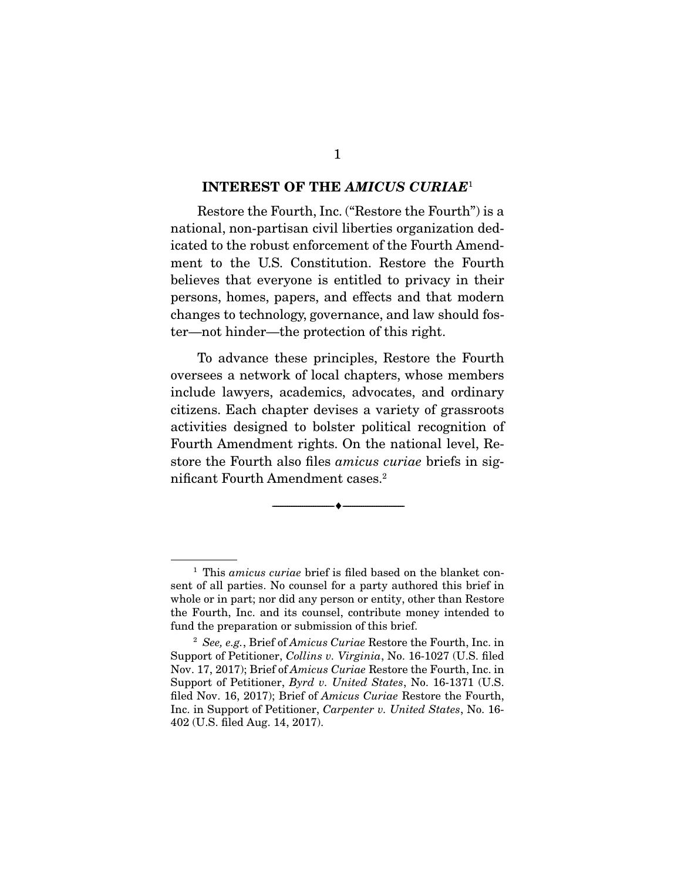#### INTEREST OF THE *AMICUS CURIAE*<sup>1</sup>

Restore the Fourth, Inc. ("Restore the Fourth") is a national, non-partisan civil liberties organization dedicated to the robust enforcement of the Fourth Amendment to the U.S. Constitution. Restore the Fourth believes that everyone is entitled to privacy in their persons, homes, papers, and effects and that modern changes to technology, governance, and law should foster—not hinder—the protection of this right.

 To advance these principles, Restore the Fourth oversees a network of local chapters, whose members include lawyers, academics, advocates, and ordinary citizens. Each chapter devises a variety of grassroots activities designed to bolster political recognition of Fourth Amendment rights. On the national level, Restore the Fourth also files *amicus curiae* briefs in significant Fourth Amendment cases.2

--------------------------------- ---------------------------------

<sup>&</sup>lt;sup>1</sup> This *amicus curiae* brief is filed based on the blanket consent of all parties. No counsel for a party authored this brief in whole or in part; nor did any person or entity, other than Restore the Fourth, Inc. and its counsel, contribute money intended to fund the preparation or submission of this brief.

<sup>2</sup> *See, e.g.*, Brief of *Amicus Curiae* Restore the Fourth, Inc. in Support of Petitioner, *Collins v. Virginia*, No. 16-1027 (U.S. filed Nov. 17, 2017); Brief of *Amicus Curiae* Restore the Fourth, Inc. in Support of Petitioner, *Byrd v. United States*, No. 16-1371 (U.S. filed Nov. 16, 2017); Brief of *Amicus Curiae* Restore the Fourth, Inc. in Support of Petitioner, *Carpenter v. United States*, No. 16- 402 (U.S. filed Aug. 14, 2017).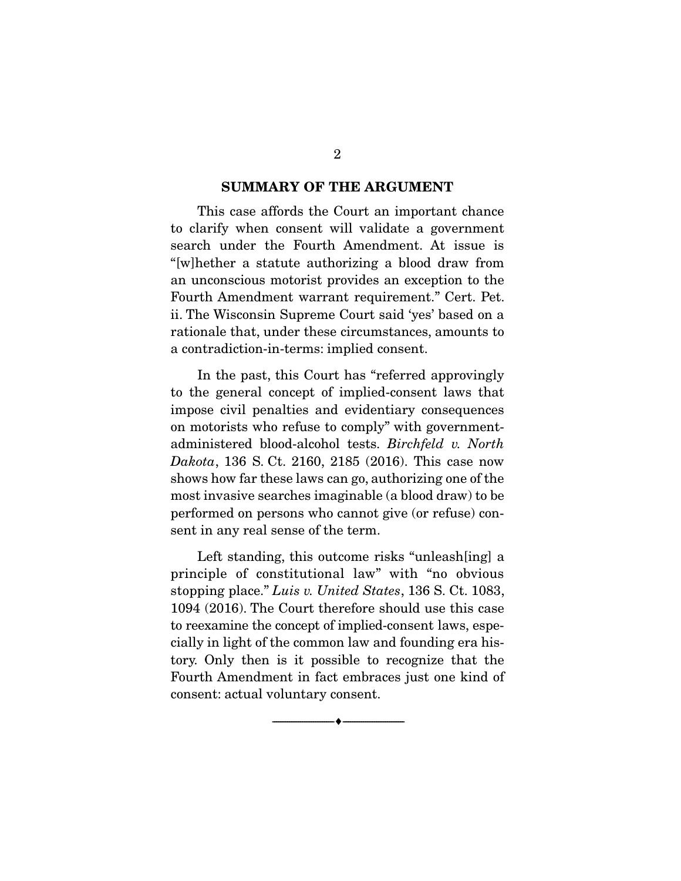#### SUMMARY OF THE ARGUMENT

This case affords the Court an important chance to clarify when consent will validate a government search under the Fourth Amendment. At issue is "[w]hether a statute authorizing a blood draw from an unconscious motorist provides an exception to the Fourth Amendment warrant requirement." Cert. Pet. ii. The Wisconsin Supreme Court said 'yes' based on a rationale that, under these circumstances, amounts to a contradiction-in-terms: implied consent.

 In the past, this Court has "referred approvingly to the general concept of implied-consent laws that impose civil penalties and evidentiary consequences on motorists who refuse to comply" with governmentadministered blood-alcohol tests. *Birchfeld v. North Dakota*, 136 S. Ct. 2160, 2185 (2016). This case now shows how far these laws can go, authorizing one of the most invasive searches imaginable (a blood draw) to be performed on persons who cannot give (or refuse) consent in any real sense of the term.

 Left standing, this outcome risks "unleash[ing] a principle of constitutional law" with "no obvious stopping place." *Luis v. United States*, 136 S. Ct. 1083, 1094 (2016). The Court therefore should use this case to reexamine the concept of implied-consent laws, especially in light of the common law and founding era history. Only then is it possible to recognize that the Fourth Amendment in fact embraces just one kind of consent: actual voluntary consent.

--------------------------------- ---------------------------------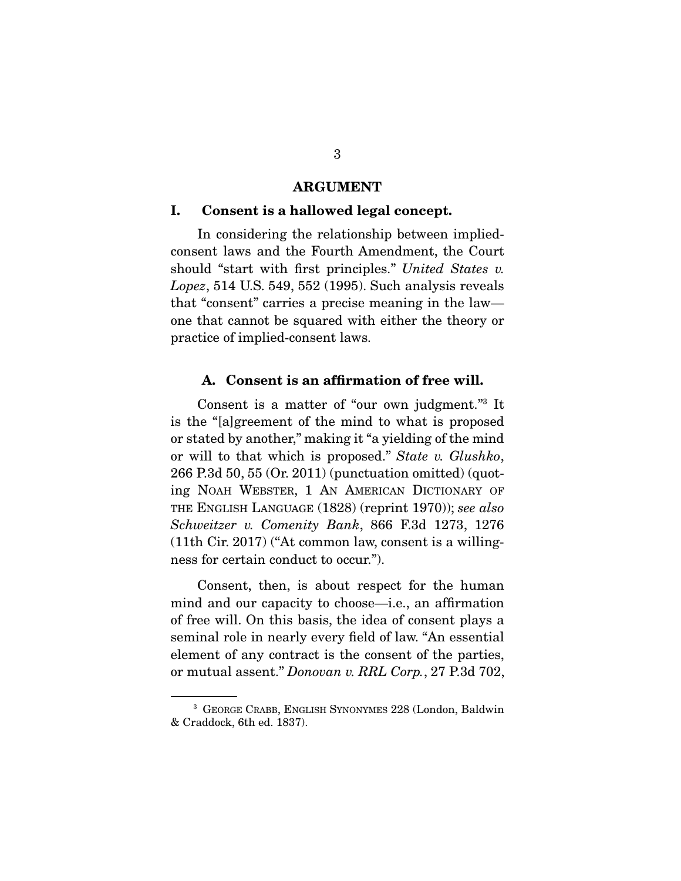#### ARGUMENT

#### I. Consent is a hallowed legal concept.

In considering the relationship between impliedconsent laws and the Fourth Amendment, the Court should "start with first principles." *United States v. Lopez*, 514 U.S. 549, 552 (1995). Such analysis reveals that "consent" carries a precise meaning in the law one that cannot be squared with either the theory or practice of implied-consent laws.

#### A. Consent is an affirmation of free will.

 Consent is a matter of "our own judgment."3 It is the "[a]greement of the mind to what is proposed or stated by another," making it "a yielding of the mind or will to that which is proposed." *State v. Glushko*, 266 P.3d 50, 55 (Or. 2011) (punctuation omitted) (quoting NOAH WEBSTER, 1 AN AMERICAN DICTIONARY OF THE ENGLISH LANGUAGE (1828) (reprint 1970)); *see also Schweitzer v. Comenity Bank*, 866 F.3d 1273, 1276 (11th Cir. 2017) ("At common law, consent is a willingness for certain conduct to occur.").

 Consent, then, is about respect for the human mind and our capacity to choose—i.e., an affirmation of free will. On this basis, the idea of consent plays a seminal role in nearly every field of law. "An essential element of any contract is the consent of the parties, or mutual assent." *Donovan v. RRL Corp.*, 27 P.3d 702,

<sup>3</sup> GEORGE CRABB, ENGLISH SYNONYMES 228 (London, Baldwin & Craddock, 6th ed. 1837).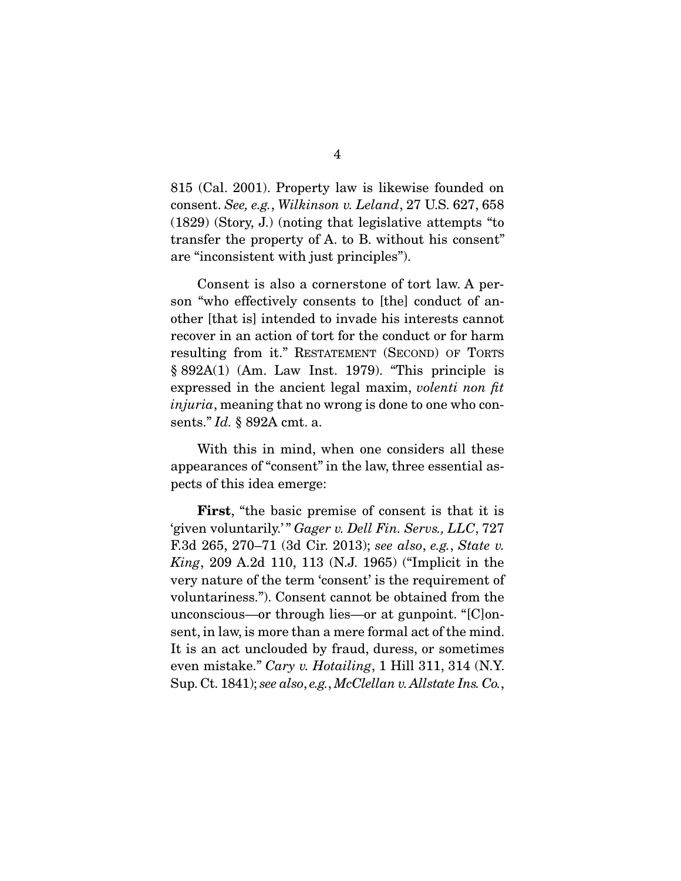815 (Cal. 2001). Property law is likewise founded on consent. *See, e.g.*, *Wilkinson v. Leland*, 27 U.S. 627, 658 (1829) (Story, J.) (noting that legislative attempts "to transfer the property of A. to B. without his consent" are "inconsistent with just principles").

 Consent is also a cornerstone of tort law. A person "who effectively consents to [the] conduct of another [that is] intended to invade his interests cannot recover in an action of tort for the conduct or for harm resulting from it." RESTATEMENT (SECOND) OF TORTS § 892A(1) (Am. Law Inst. 1979). "This principle is expressed in the ancient legal maxim, *volenti non fit injuria*, meaning that no wrong is done to one who consents." *Id.* § 892A cmt. a.

 With this in mind, when one considers all these appearances of "consent" in the law, three essential aspects of this idea emerge:

First, "the basic premise of consent is that it is 'given voluntarily.'" Gager v. Dell Fin. Servs., LLC, 727 F.3d 265, 270–71 (3d Cir. 2013); *see also*, *e.g.*, *State v. King*, 209 A.2d 110, 113 (N.J. 1965) ("Implicit in the very nature of the term 'consent' is the requirement of voluntariness."). Consent cannot be obtained from the unconscious—or through lies—or at gunpoint. "[C]onsent, in law, is more than a mere formal act of the mind. It is an act unclouded by fraud, duress, or sometimes even mistake." *Cary v. Hotailing*, 1 Hill 311, 314 (N.Y. Sup. Ct. 1841); *see also*, *e.g.*, *McClellan v. Allstate Ins. Co.*,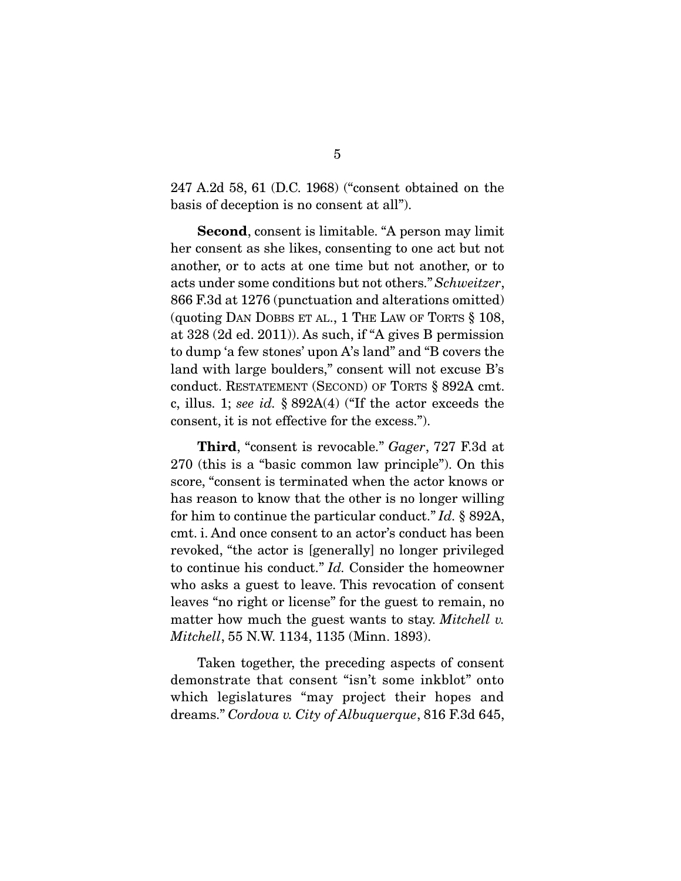247 A.2d 58, 61 (D.C. 1968) ("consent obtained on the basis of deception is no consent at all").

Second, consent is limitable. "A person may limit her consent as she likes, consenting to one act but not another, or to acts at one time but not another, or to acts under some conditions but not others." *Schweitzer*, 866 F.3d at 1276 (punctuation and alterations omitted) (quoting DAN DOBBS ET AL., 1 THE LAW OF TORTS § 108, at 328 (2d ed. 2011)). As such, if "A gives B permission to dump 'a few stones' upon A's land" and "B covers the land with large boulders," consent will not excuse B's conduct. RESTATEMENT (SECOND) OF TORTS § 892A cmt. c, illus. 1; *see id.* § 892A(4) ("If the actor exceeds the consent, it is not effective for the excess.").

Third, "consent is revocable." *Gager*, 727 F.3d at 270 (this is a "basic common law principle"). On this score, "consent is terminated when the actor knows or has reason to know that the other is no longer willing for him to continue the particular conduct." *Id.* § 892A, cmt. i. And once consent to an actor's conduct has been revoked, "the actor is [generally] no longer privileged to continue his conduct." *Id.* Consider the homeowner who asks a guest to leave. This revocation of consent leaves "no right or license" for the guest to remain, no matter how much the guest wants to stay. *Mitchell v. Mitchell*, 55 N.W. 1134, 1135 (Minn. 1893).

Taken together, the preceding aspects of consent demonstrate that consent "isn't some inkblot" onto which legislatures "may project their hopes and dreams." *Cordova v. City of Albuquerque*, 816 F.3d 645,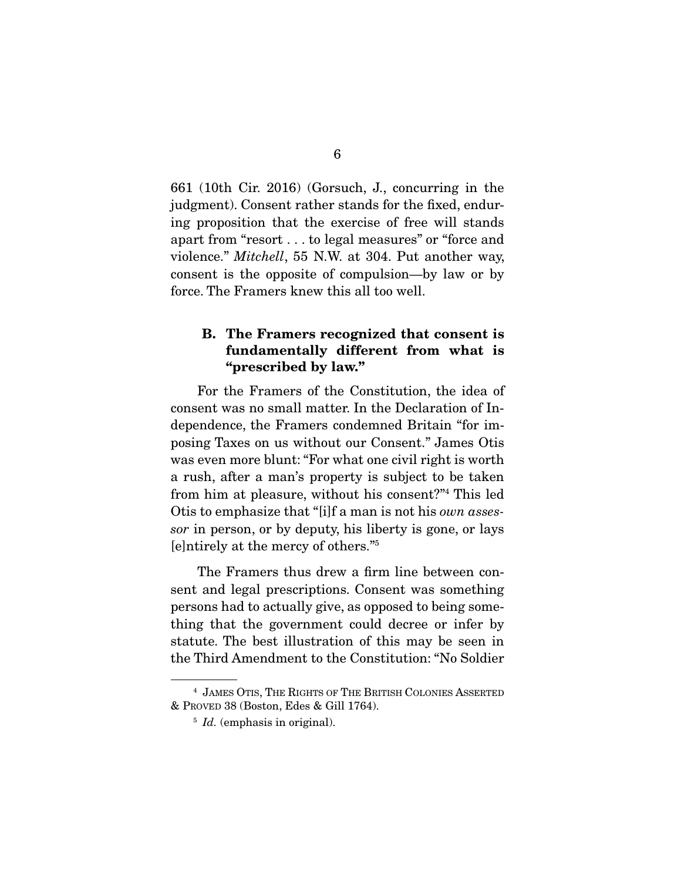661 (10th Cir. 2016) (Gorsuch, J., concurring in the judgment). Consent rather stands for the fixed, enduring proposition that the exercise of free will stands apart from "resort . . . to legal measures" or "force and violence." *Mitchell*, 55 N.W. at 304. Put another way, consent is the opposite of compulsion—by law or by force. The Framers knew this all too well.

### B. The Framers recognized that consent is fundamentally different from what is "prescribed by law."

For the Framers of the Constitution, the idea of consent was no small matter. In the Declaration of Independence, the Framers condemned Britain "for imposing Taxes on us without our Consent." James Otis was even more blunt: "For what one civil right is worth a rush, after a man's property is subject to be taken from him at pleasure, without his consent?"4 This led Otis to emphasize that "[i]f a man is not his *own assessor* in person, or by deputy, his liberty is gone, or lays [e]ntirely at the mercy of others."5

The Framers thus drew a firm line between consent and legal prescriptions. Consent was something persons had to actually give, as opposed to being something that the government could decree or infer by statute. The best illustration of this may be seen in the Third Amendment to the Constitution: "No Soldier

<sup>4</sup> JAMES OTIS, THE RIGHTS OF THE BRITISH COLONIES ASSERTED & PROVED 38 (Boston, Edes & Gill 1764).

<sup>&</sup>lt;sup>5</sup> *Id.* (emphasis in original).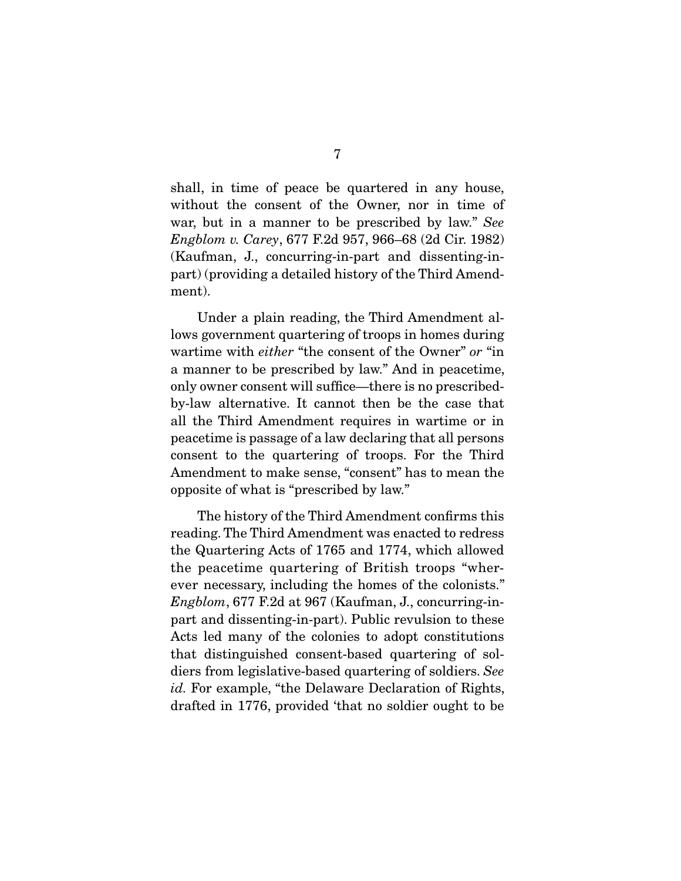shall, in time of peace be quartered in any house, without the consent of the Owner, nor in time of war, but in a manner to be prescribed by law." *See Engblom v. Carey*, 677 F.2d 957, 966–68 (2d Cir. 1982) (Kaufman, J., concurring-in-part and dissenting-inpart) (providing a detailed history of the Third Amendment).

 Under a plain reading, the Third Amendment allows government quartering of troops in homes during wartime with *either* "the consent of the Owner" *or* "in a manner to be prescribed by law." And in peacetime, only owner consent will suffice—there is no prescribedby-law alternative. It cannot then be the case that all the Third Amendment requires in wartime or in peacetime is passage of a law declaring that all persons consent to the quartering of troops. For the Third Amendment to make sense, "consent" has to mean the opposite of what is "prescribed by law."

 The history of the Third Amendment confirms this reading. The Third Amendment was enacted to redress the Quartering Acts of 1765 and 1774, which allowed the peacetime quartering of British troops "wherever necessary, including the homes of the colonists." *Engblom*, 677 F.2d at 967 (Kaufman, J., concurring-inpart and dissenting-in-part). Public revulsion to these Acts led many of the colonies to adopt constitutions that distinguished consent-based quartering of soldiers from legislative-based quartering of soldiers. *See id.* For example, "the Delaware Declaration of Rights, drafted in 1776, provided 'that no soldier ought to be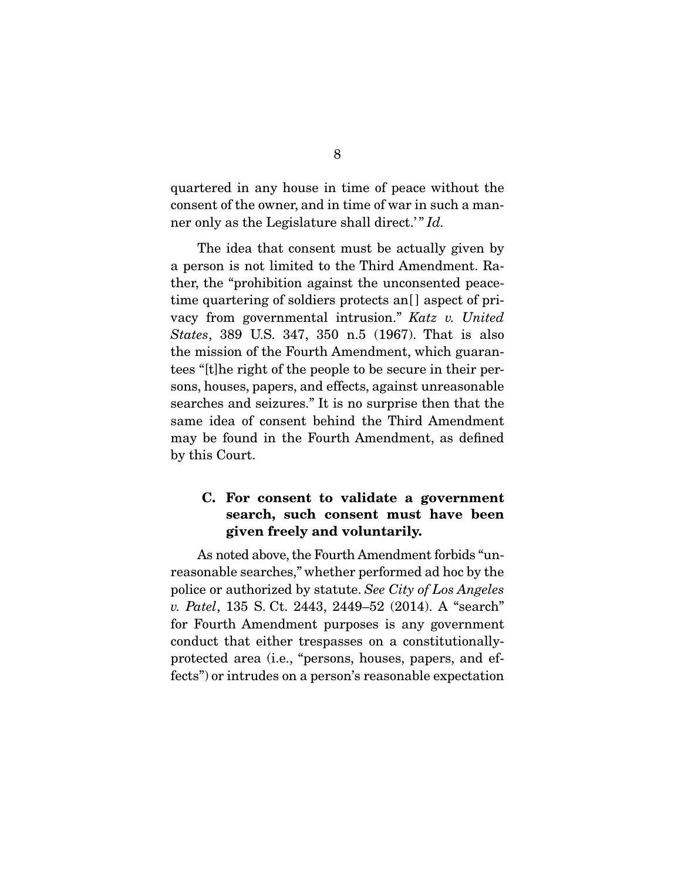quartered in any house in time of peace without the consent of the owner, and in time of war in such a manner only as the Legislature shall direct.'" *Id.* 

The idea that consent must be actually given by a person is not limited to the Third Amendment. Rather, the "prohibition against the unconsented peacetime quartering of soldiers protects an<sup>[]</sup> aspect of privacy from governmental intrusion." *Katz v. United States*, 389 U.S. 347, 350 n.5 (1967). That is also the mission of the Fourth Amendment, which guarantees "[t]he right of the people to be secure in their persons, houses, papers, and effects, against unreasonable searches and seizures." It is no surprise then that the same idea of consent behind the Third Amendment may be found in the Fourth Amendment, as defined by this Court.

## C. For consent to validate a government search, such consent must have been given freely and voluntarily.

As noted above, the Fourth Amendment forbids "unreasonable searches," whether performed ad hoc by the police or authorized by statute. *See City of Los Angeles v. Patel*, 135 S. Ct. 2443, 2449–52 (2014). A "search" for Fourth Amendment purposes is any government conduct that either trespasses on a constitutionallyprotected area (i.e., "persons, houses, papers, and effects") or intrudes on a person's reasonable expectation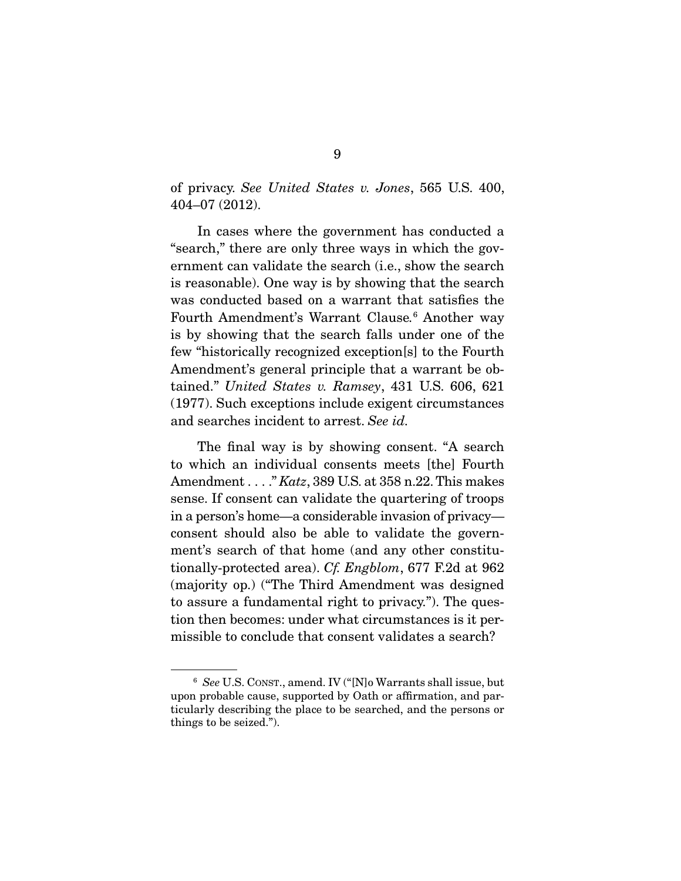of privacy. *See United States v. Jones*, 565 U.S. 400, 404–07 (2012).

 In cases where the government has conducted a "search," there are only three ways in which the government can validate the search (i.e., show the search is reasonable). One way is by showing that the search was conducted based on a warrant that satisfies the Fourth Amendment's Warrant Clause*.* 6 Another way is by showing that the search falls under one of the few "historically recognized exception[s] to the Fourth Amendment's general principle that a warrant be obtained." *United States v. Ramsey*, 431 U.S. 606, 621 (1977). Such exceptions include exigent circumstances and searches incident to arrest. *See id.*

 The final way is by showing consent. "A search to which an individual consents meets [the] Fourth Amendment . . . ." *Katz*, 389 U.S. at 358 n.22. This makes sense. If consent can validate the quartering of troops in a person's home—a considerable invasion of privacy consent should also be able to validate the government's search of that home (and any other constitutionally-protected area). *Cf. Engblom*, 677 F.2d at 962 (majority op.) ("The Third Amendment was designed to assure a fundamental right to privacy."). The question then becomes: under what circumstances is it permissible to conclude that consent validates a search?

<sup>6</sup> *See* U.S. CONST., amend. IV ("[N]o Warrants shall issue, but upon probable cause, supported by Oath or affirmation, and particularly describing the place to be searched, and the persons or things to be seized.").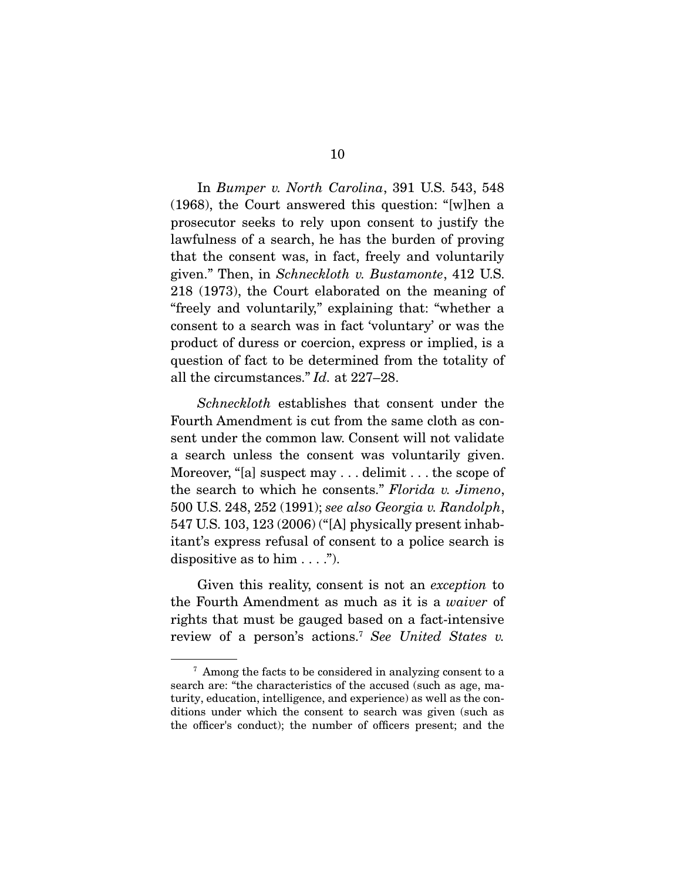In *Bumper v. North Carolina*, 391 U.S. 543, 548 (1968), the Court answered this question: "[w]hen a prosecutor seeks to rely upon consent to justify the lawfulness of a search, he has the burden of proving that the consent was, in fact, freely and voluntarily given." Then, in *Schneckloth v. Bustamonte*, 412 U.S. 218 (1973), the Court elaborated on the meaning of "freely and voluntarily," explaining that: "whether a consent to a search was in fact 'voluntary' or was the product of duress or coercion, express or implied, is a question of fact to be determined from the totality of all the circumstances." *Id.* at 227–28.

*Schneckloth* establishes that consent under the Fourth Amendment is cut from the same cloth as consent under the common law. Consent will not validate a search unless the consent was voluntarily given. Moreover, "[a] suspect may . . . delimit . . . the scope of the search to which he consents." *Florida v. Jimeno*, 500 U.S. 248, 252 (1991); *see also Georgia v. Randolph*, 547 U.S. 103, 123 (2006) ("[A] physically present inhabitant's express refusal of consent to a police search is dispositive as to him  $\dots$ .").

 Given this reality, consent is not an *exception* to the Fourth Amendment as much as it is a *waiver* of rights that must be gauged based on a fact-intensive review of a person's actions.7 *See United States v.* 

<sup>7</sup> Among the facts to be considered in analyzing consent to a search are: "the characteristics of the accused (such as age, maturity, education, intelligence, and experience) as well as the conditions under which the consent to search was given (such as the officer's conduct); the number of officers present; and the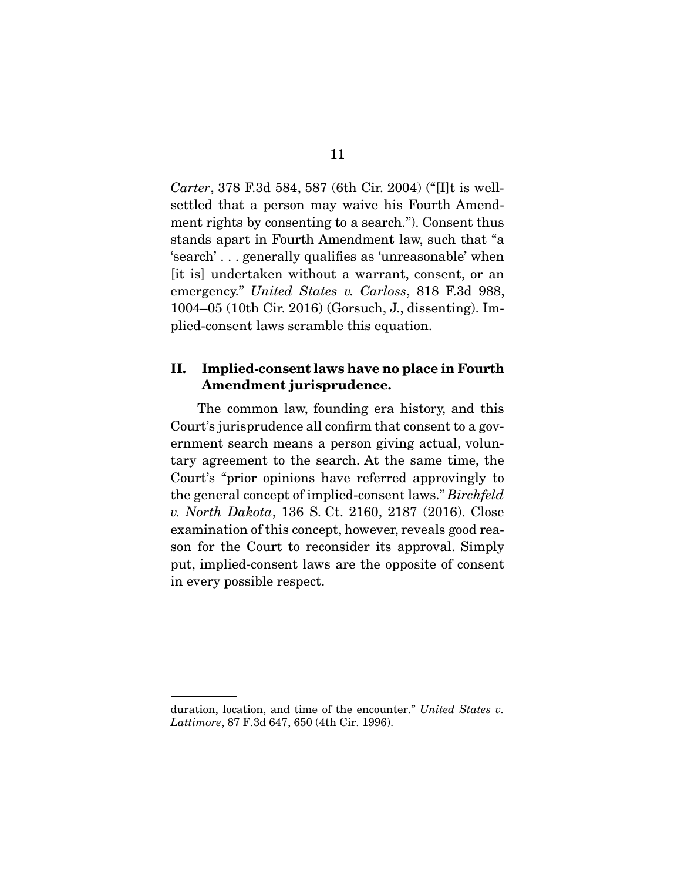*Carter*, 378 F.3d 584, 587 (6th Cir. 2004) ("[I]t is wellsettled that a person may waive his Fourth Amendment rights by consenting to a search."). Consent thus stands apart in Fourth Amendment law, such that "a 'search' . . . generally qualifies as 'unreasonable' when [it is] undertaken without a warrant, consent, or an emergency." *United States v. Carloss*, 818 F.3d 988, 1004–05 (10th Cir. 2016) (Gorsuch, J., dissenting). Implied-consent laws scramble this equation.

## II. Implied-consent laws have no place in Fourth Amendment jurisprudence.

The common law, founding era history, and this Court's jurisprudence all confirm that consent to a government search means a person giving actual, voluntary agreement to the search. At the same time, the Court's "prior opinions have referred approvingly to the general concept of implied-consent laws." *Birchfeld v. North Dakota*, 136 S. Ct. 2160, 2187 (2016). Close examination of this concept, however, reveals good reason for the Court to reconsider its approval. Simply put, implied-consent laws are the opposite of consent in every possible respect.

duration, location, and time of the encounter." *United States v. Lattimore*, 87 F.3d 647, 650 (4th Cir. 1996).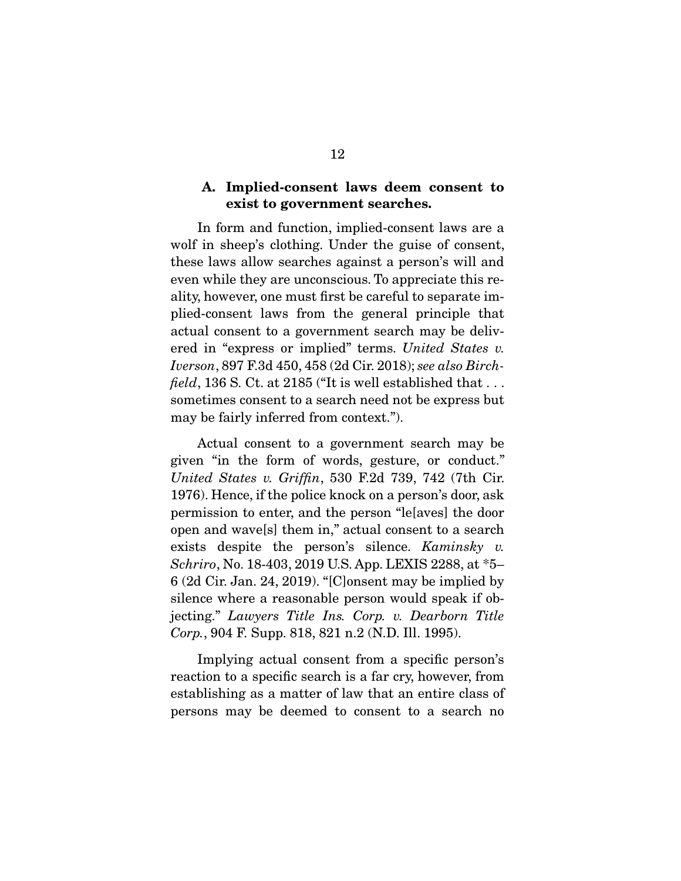### A. Implied-consent laws deem consent to exist to government searches.

In form and function, implied-consent laws are a wolf in sheep's clothing. Under the guise of consent, these laws allow searches against a person's will and even while they are unconscious. To appreciate this reality, however, one must first be careful to separate implied-consent laws from the general principle that actual consent to a government search may be delivered in "express or implied" terms. *United States v. Iverson*, 897 F.3d 450, 458 (2d Cir. 2018); *see also Birchfield*, 136 S. Ct. at 2185 ("It is well established that  $\dots$ sometimes consent to a search need not be express but may be fairly inferred from context.").

 Actual consent to a government search may be given "in the form of words, gesture, or conduct." *United States v. Griffin*, 530 F.2d 739, 742 (7th Cir. 1976). Hence, if the police knock on a person's door, ask permission to enter, and the person "le[aves] the door open and wave[s] them in," actual consent to a search exists despite the person's silence. *Kaminsky v. Schriro*, No. 18-403, 2019 U.S. App. LEXIS 2288, at \*5– 6 (2d Cir. Jan. 24, 2019). "[C]onsent may be implied by silence where a reasonable person would speak if objecting." *Lawyers Title Ins. Corp. v. Dearborn Title Corp.*, 904 F. Supp. 818, 821 n.2 (N.D. Ill. 1995).

Implying actual consent from a specific person's reaction to a specific search is a far cry, however, from establishing as a matter of law that an entire class of persons may be deemed to consent to a search no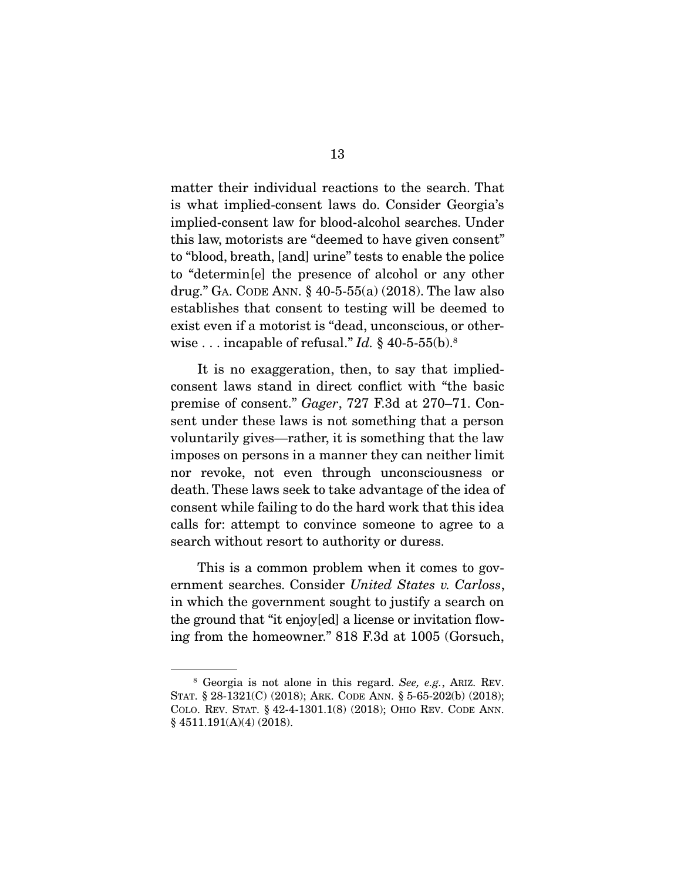matter their individual reactions to the search. That is what implied-consent laws do. Consider Georgia's implied-consent law for blood-alcohol searches. Under this law, motorists are "deemed to have given consent" to "blood, breath, [and] urine" tests to enable the police to "determin[e] the presence of alcohol or any other drug." GA. CODE ANN. § 40-5-55(a) (2018). The law also establishes that consent to testing will be deemed to exist even if a motorist is "dead, unconscious, or otherwise . . . incapable of refusal." *Id.* § 40-5-55(b).8

 It is no exaggeration, then, to say that impliedconsent laws stand in direct conflict with "the basic premise of consent." *Gager*, 727 F.3d at 270–71. Consent under these laws is not something that a person voluntarily gives—rather, it is something that the law imposes on persons in a manner they can neither limit nor revoke, not even through unconsciousness or death. These laws seek to take advantage of the idea of consent while failing to do the hard work that this idea calls for: attempt to convince someone to agree to a search without resort to authority or duress.

 This is a common problem when it comes to government searches. Consider *United States v. Carloss*, in which the government sought to justify a search on the ground that "it enjoy[ed] a license or invitation flowing from the homeowner." 818 F.3d at 1005 (Gorsuch,

<sup>8</sup> Georgia is not alone in this regard. *See, e.g.*, ARIZ. REV. STAT. § 28-1321(C) (2018); ARK. CODE ANN. § 5-65-202(b) (2018); COLO. REV. STAT. § 42-4-1301.1(8) (2018); OHIO REV. CODE ANN.  $§$  4511.191(A)(4) (2018).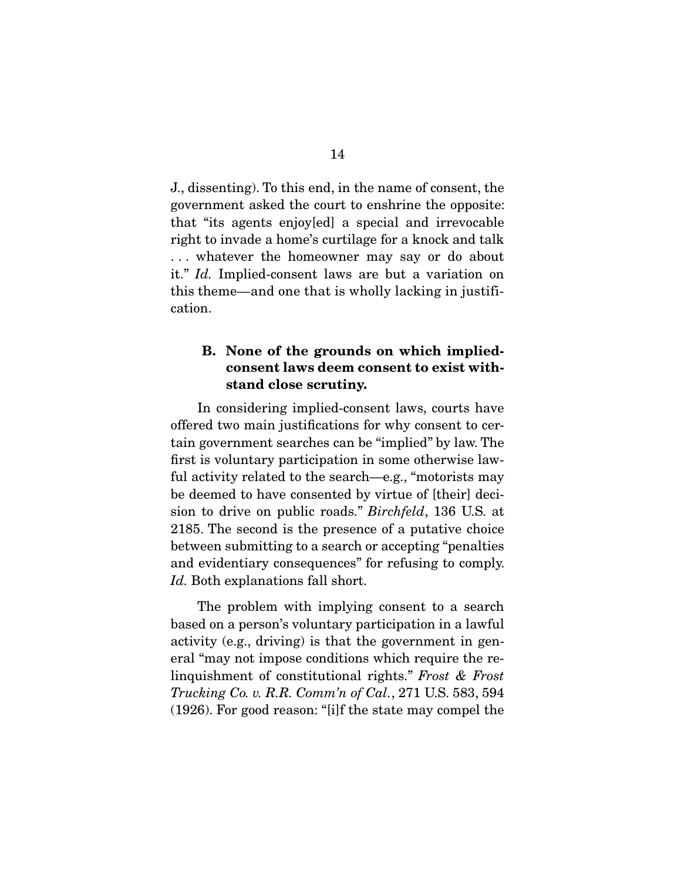J., dissenting). To this end, in the name of consent, the government asked the court to enshrine the opposite: that "its agents enjoy[ed] a special and irrevocable right to invade a home's curtilage for a knock and talk . . . whatever the homeowner may say or do about it." *Id.* Implied-consent laws are but a variation on this theme—and one that is wholly lacking in justification.

## B. None of the grounds on which impliedconsent laws deem consent to exist withstand close scrutiny.

In considering implied-consent laws, courts have offered two main justifications for why consent to certain government searches can be "implied" by law. The first is voluntary participation in some otherwise lawful activity related to the search—e.g., "motorists may be deemed to have consented by virtue of [their] decision to drive on public roads." *Birchfeld*, 136 U.S. at 2185. The second is the presence of a putative choice between submitting to a search or accepting "penalties and evidentiary consequences" for refusing to comply. *Id.* Both explanations fall short.

 The problem with implying consent to a search based on a person's voluntary participation in a lawful activity (e.g., driving) is that the government in general "may not impose conditions which require the relinquishment of constitutional rights." *Frost & Frost Trucking Co. v. R.R. Comm'n of Cal.*, 271 U.S. 583, 594 (1926). For good reason: "[i]f the state may compel the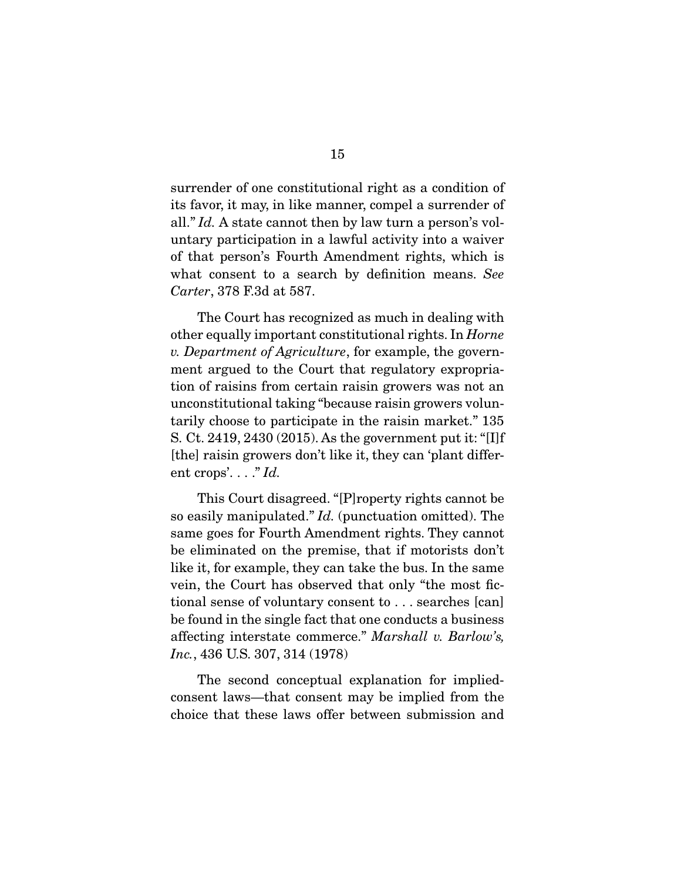surrender of one constitutional right as a condition of its favor, it may, in like manner, compel a surrender of all." *Id.* A state cannot then by law turn a person's voluntary participation in a lawful activity into a waiver of that person's Fourth Amendment rights, which is what consent to a search by definition means. *See Carter*, 378 F.3d at 587.

The Court has recognized as much in dealing with other equally important constitutional rights. In *Horne v. Department of Agriculture*, for example, the government argued to the Court that regulatory expropriation of raisins from certain raisin growers was not an unconstitutional taking "because raisin growers voluntarily choose to participate in the raisin market." 135 S. Ct. 2419, 2430 (2015). As the government put it: "[I]f [the] raisin growers don't like it, they can 'plant different crops'. . . ." *Id.*

 This Court disagreed. "[P]roperty rights cannot be so easily manipulated." *Id.* (punctuation omitted). The same goes for Fourth Amendment rights. They cannot be eliminated on the premise, that if motorists don't like it, for example, they can take the bus. In the same vein, the Court has observed that only "the most fictional sense of voluntary consent to . . . searches [can] be found in the single fact that one conducts a business affecting interstate commerce." *Marshall v. Barlow's, Inc.*, 436 U.S. 307, 314 (1978)

The second conceptual explanation for impliedconsent laws—that consent may be implied from the choice that these laws offer between submission and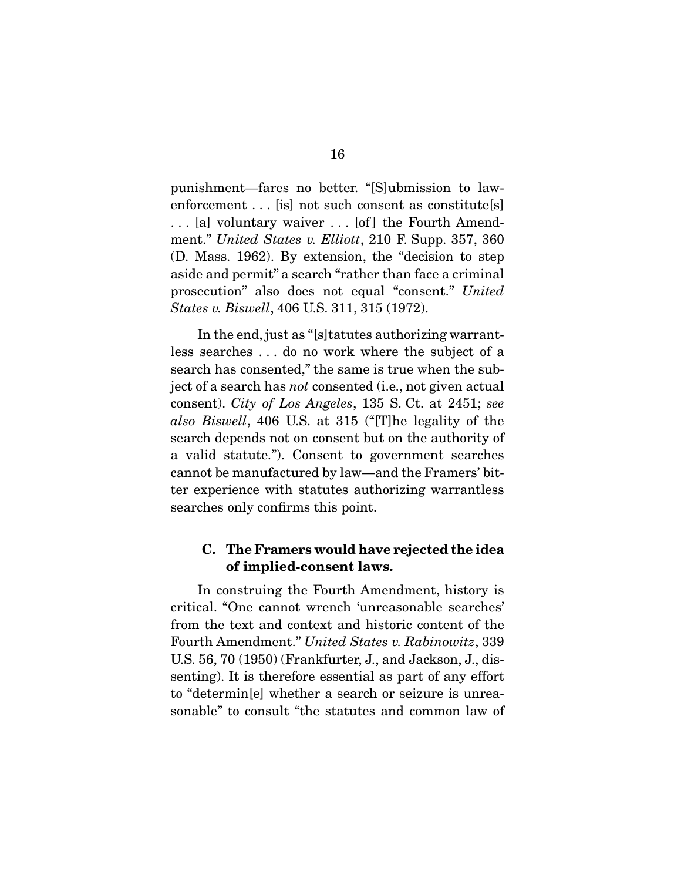punishment—fares no better. "[S]ubmission to lawenforcement . . . [is] not such consent as constitute[s] . . . [a] voluntary waiver . . . [of ] the Fourth Amendment." *United States v. Elliott*, 210 F. Supp. 357, 360 (D. Mass. 1962). By extension, the "decision to step aside and permit" a search "rather than face a criminal prosecution" also does not equal "consent." *United States v. Biswell*, 406 U.S. 311, 315 (1972).

 In the end, just as "[s]tatutes authorizing warrantless searches . . . do no work where the subject of a search has consented," the same is true when the subject of a search has *not* consented (i.e., not given actual consent). *City of Los Angeles*, 135 S. Ct. at 2451; *see also Biswell*, 406 U.S. at 315 ("[T]he legality of the search depends not on consent but on the authority of a valid statute."). Consent to government searches cannot be manufactured by law—and the Framers' bitter experience with statutes authorizing warrantless searches only confirms this point.

### C. The Framers would have rejected the idea of implied-consent laws.

In construing the Fourth Amendment, history is critical. "One cannot wrench 'unreasonable searches' from the text and context and historic content of the Fourth Amendment." *United States v. Rabinowitz*, 339 U.S. 56, 70 (1950) (Frankfurter, J., and Jackson, J., dissenting). It is therefore essential as part of any effort to "determin[e] whether a search or seizure is unreasonable" to consult "the statutes and common law of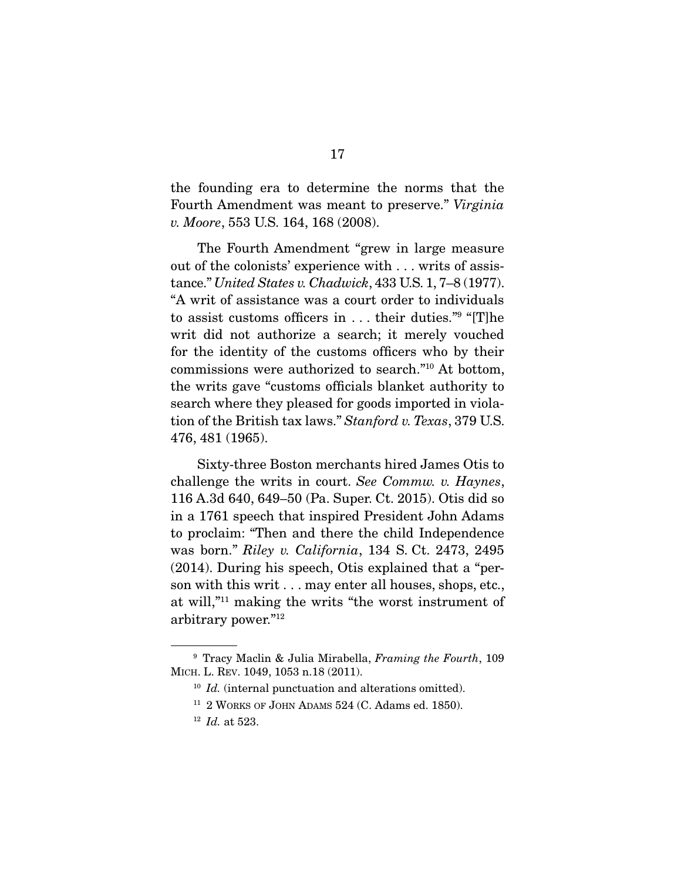the founding era to determine the norms that the Fourth Amendment was meant to preserve." *Virginia v. Moore*, 553 U.S. 164, 168 (2008).

 The Fourth Amendment "grew in large measure out of the colonists' experience with . . . writs of assistance." *United States v. Chadwick*, 433 U.S. 1, 7–8 (1977). "A writ of assistance was a court order to individuals to assist customs officers in . . . their duties."9 "[T]he writ did not authorize a search; it merely vouched for the identity of the customs officers who by their commissions were authorized to search."10 At bottom, the writs gave "customs officials blanket authority to search where they pleased for goods imported in violation of the British tax laws." *Stanford v. Texas*, 379 U.S. 476, 481 (1965).

 Sixty-three Boston merchants hired James Otis to challenge the writs in court. *See Commw. v. Haynes*, 116 A.3d 640, 649–50 (Pa. Super. Ct. 2015). Otis did so in a 1761 speech that inspired President John Adams to proclaim: "Then and there the child Independence was born." *Riley v. California*, 134 S. Ct. 2473, 2495 (2014). During his speech, Otis explained that a "person with this writ . . . may enter all houses, shops, etc., at will,"11 making the writs "the worst instrument of arbitrary power."12

<sup>9</sup> Tracy Maclin & Julia Mirabella, *Framing the Fourth*, 109 MICH. L. REV. 1049, 1053 n.18 (2011).

<sup>&</sup>lt;sup>10</sup> *Id.* (internal punctuation and alterations omitted).

 $11$  2 WORKS OF JOHN ADAMS 524 (C. Adams ed. 1850).

<sup>12</sup> *Id.* at 523.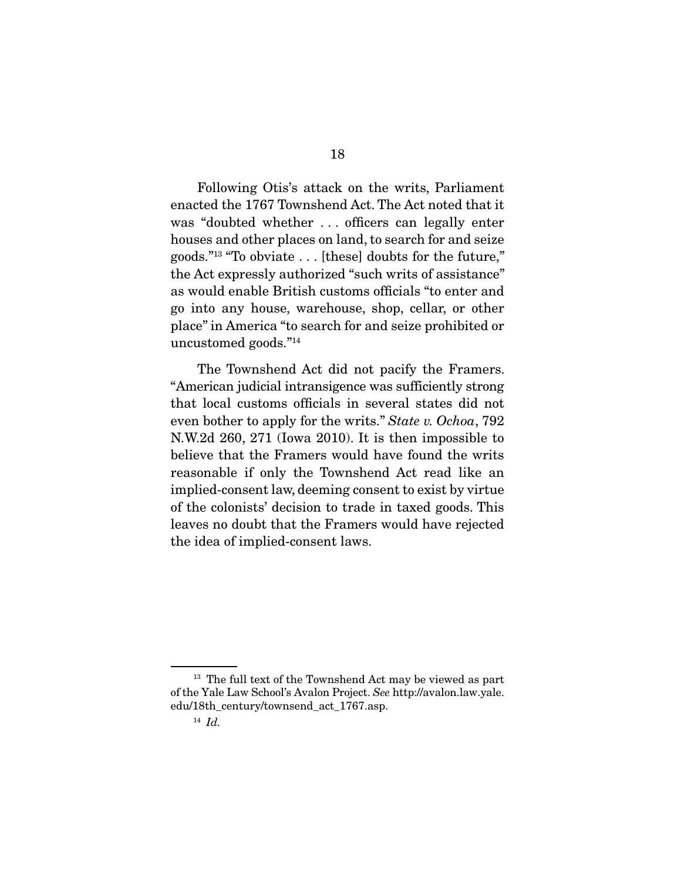Following Otis's attack on the writs, Parliament enacted the 1767 Townshend Act. The Act noted that it was "doubted whether . . . officers can legally enter houses and other places on land, to search for and seize goods."13 "To obviate . . . [these] doubts for the future," the Act expressly authorized "such writs of assistance" as would enable British customs officials "to enter and go into any house, warehouse, shop, cellar, or other place" in America "to search for and seize prohibited or uncustomed goods."14

 The Townshend Act did not pacify the Framers. "American judicial intransigence was sufficiently strong that local customs officials in several states did not even bother to apply for the writs." *State v. Ochoa*, 792 N.W.2d 260, 271 (Iowa 2010). It is then impossible to believe that the Framers would have found the writs reasonable if only the Townshend Act read like an implied-consent law, deeming consent to exist by virtue of the colonists' decision to trade in taxed goods. This leaves no doubt that the Framers would have rejected the idea of implied-consent laws.

<sup>&</sup>lt;sup>13</sup> The full text of the Townshend Act may be viewed as part of the Yale Law School's Avalon Project. *See* http://avalon.law.yale. edu/18th\_century/townsend\_act\_1767.asp.

<sup>14</sup> *Id.*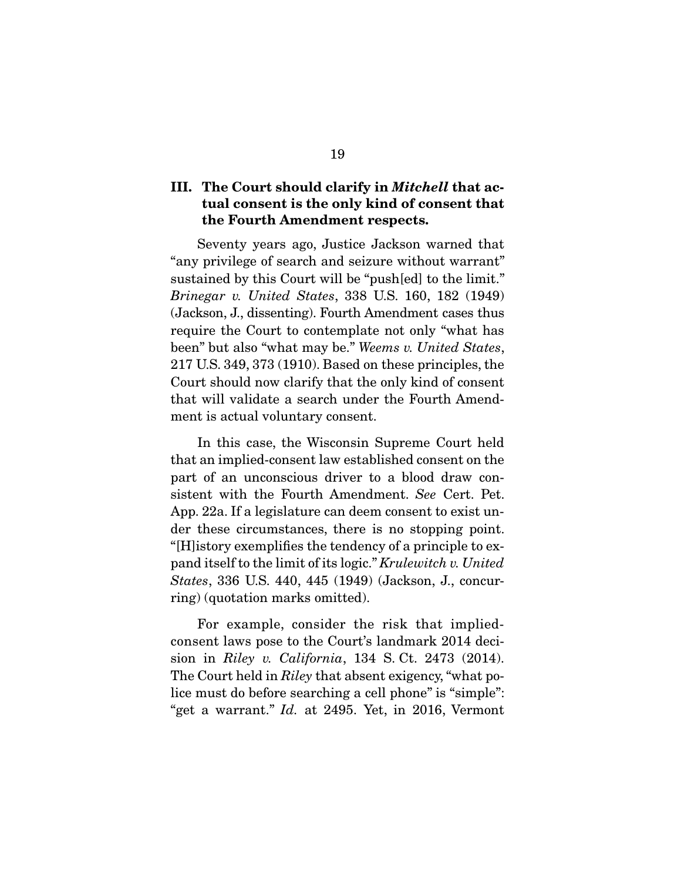## III. The Court should clarify in *Mitchell* that actual consent is the only kind of consent that the Fourth Amendment respects.

Seventy years ago, Justice Jackson warned that "any privilege of search and seizure without warrant" sustained by this Court will be "push[ed] to the limit." *Brinegar v. United States*, 338 U.S. 160, 182 (1949) (Jackson, J., dissenting). Fourth Amendment cases thus require the Court to contemplate not only "what has been" but also "what may be." *Weems v. United States*, 217 U.S. 349, 373 (1910). Based on these principles, the Court should now clarify that the only kind of consent that will validate a search under the Fourth Amendment is actual voluntary consent.

 In this case, the Wisconsin Supreme Court held that an implied-consent law established consent on the part of an unconscious driver to a blood draw consistent with the Fourth Amendment. *See* Cert. Pet. App. 22a. If a legislature can deem consent to exist under these circumstances, there is no stopping point. "[H]istory exemplifies the tendency of a principle to expand itself to the limit of its logic." *Krulewitch v. United States*, 336 U.S. 440, 445 (1949) (Jackson, J., concurring) (quotation marks omitted).

 For example, consider the risk that impliedconsent laws pose to the Court's landmark 2014 decision in *Riley v. California*, 134 S. Ct. 2473 (2014). The Court held in *Riley* that absent exigency, "what police must do before searching a cell phone" is "simple": "get a warrant." *Id.* at 2495. Yet, in 2016, Vermont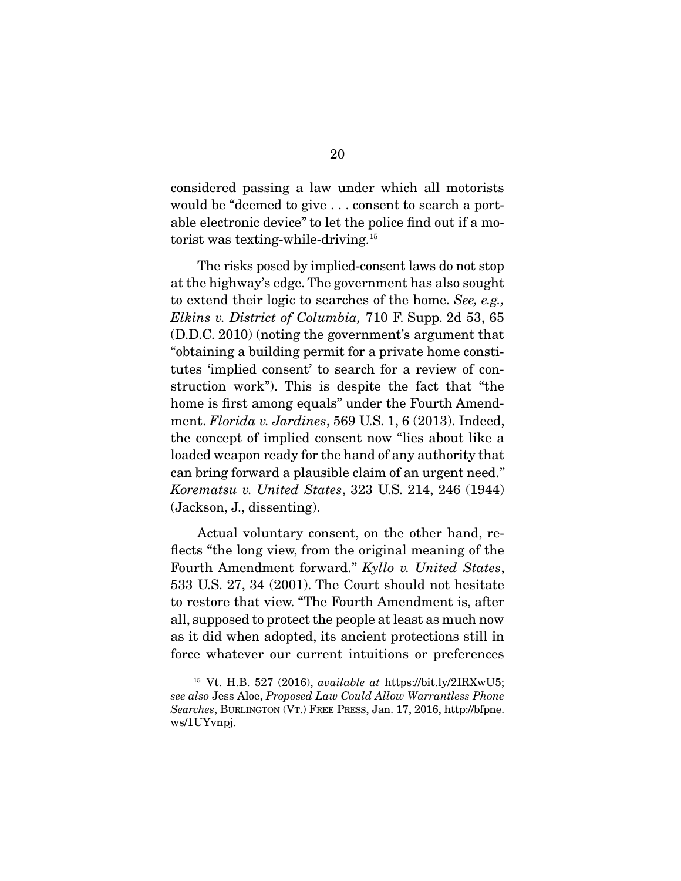considered passing a law under which all motorists would be "deemed to give . . . consent to search a portable electronic device" to let the police find out if a motorist was texting-while-driving.15

 The risks posed by implied-consent laws do not stop at the highway's edge. The government has also sought to extend their logic to searches of the home. *See, e.g., Elkins v. District of Columbia,* 710 F. Supp. 2d 53, 65 (D.D.C. 2010) (noting the government's argument that "obtaining a building permit for a private home constitutes 'implied consent' to search for a review of construction work"). This is despite the fact that "the home is first among equals" under the Fourth Amendment. *Florida v. Jardines*, 569 U.S. 1, 6 (2013). Indeed, the concept of implied consent now "lies about like a loaded weapon ready for the hand of any authority that can bring forward a plausible claim of an urgent need." *Korematsu v. United States*, 323 U.S. 214, 246 (1944) (Jackson, J., dissenting).

 Actual voluntary consent, on the other hand, reflects "the long view, from the original meaning of the Fourth Amendment forward." *Kyllo v. United States*, 533 U.S. 27, 34 (2001). The Court should not hesitate to restore that view. "The Fourth Amendment is, after all, supposed to protect the people at least as much now as it did when adopted, its ancient protections still in force whatever our current intuitions or preferences

<sup>15</sup> Vt. H.B. 527 (2016), *available at* https://bit.ly/2IRXwU5; *see also* Jess Aloe, *Proposed Law Could Allow Warrantless Phone Searches*, BURLINGTON (VT.) FREE PRESS, Jan. 17, 2016, http://bfpne. ws/1UYvnpj.